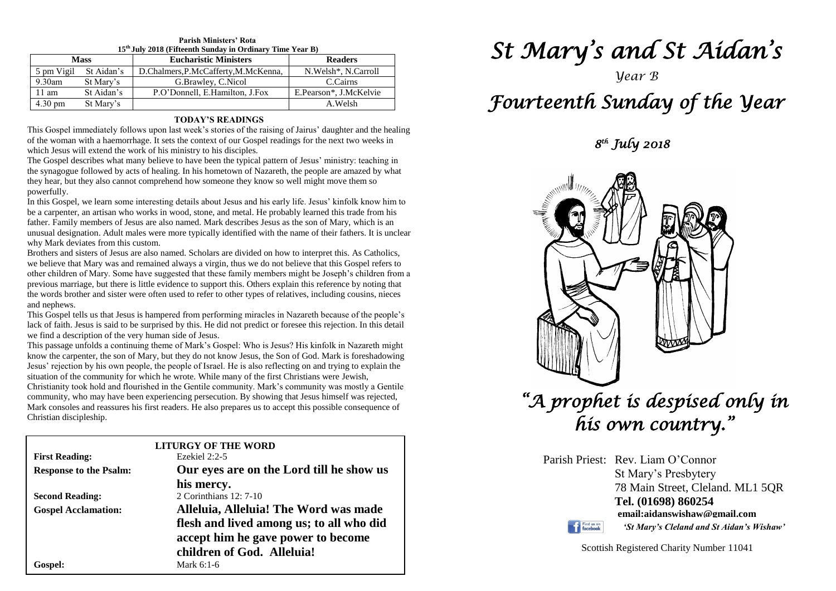| 15 <sup>th</sup> July 2018 (Fifteenth Sunday in Ordinary Time Year B) |            |                                      |                        |  |
|-----------------------------------------------------------------------|------------|--------------------------------------|------------------------|--|
| <b>Mass</b>                                                           |            | <b>Eucharistic Ministers</b>         | <b>Readers</b>         |  |
| 5 pm Vigil                                                            | St Aidan's | D.Chalmers, P.McCafferty, M.McKenna, | N. Welsh*, N. Carroll  |  |
| 9.30am                                                                | St Mary's  | G.Brawley, C.Nicol                   | C.Cairns               |  |
| 11 am                                                                 | St Aidan's | P.O'Donnell, E.Hamilton, J.Fox       | E.Pearson*, J.McKelvie |  |
| $4.30 \text{ pm}$                                                     | St Mary's  |                                      | A.Welsh                |  |

## **Parish Ministers' Rota**

#### **TODAY'S READINGS**

This Gospel immediately follows upon last week's stories of the raising of Jairus' daughter and the healing of the woman with a haemorrhage. It sets the context of our Gospel readings for the next two weeks in which Jesus will extend the work of his ministry to his disciples.

The Gospel describes what many believe to have been the typical pattern of Jesus' ministry: teaching in the synagogue followed by acts of healing. In his hometown of Nazareth, the people are amazed by what they hear, but they also cannot comprehend how someone they know so well might move them so powerfully.

In this Gospel, we learn some interesting details about Jesus and his early life. Jesus' kinfolk know him to be a carpenter, an artisan who works in wood, stone, and metal. He probably learned this trade from his father. Family members of Jesus are also named. Mark describes Jesus as the son of Mary, which is an unusual designation. Adult males were more typically identified with the name of their fathers. It is unclear why Mark deviates from this custom.

Brothers and sisters of Jesus are also named. Scholars are divided on how to interpret this. As Catholics, we believe that Mary was and remained always a virgin, thus we do not believe that this Gospel refers to other children of Mary. Some have suggested that these family members might be Joseph's children from a previous marriage, but there is little evidence to support this. Others explain this reference by noting that the words brother and sister were often used to refer to other types of relatives, including cousins, nieces and nephews.

and nephews.<br>This Gospel tells us that Jesus is hampered from performing miracles in Nazareth because of the people's<br>Jack of faith. Jesus is said to be surprised by this. He did not predict or foresee this rejection. In t lack of faith. Jesus is said to be surprised by this. He did not predict or foresee this rejection. In this detail we find a description of the very human side of Jesus.

we find a description of the very human side of Jesus.<br>This passage unfolds a continuing theme of Mark's Gospel: Who is Jesus? His kinfolk in Nazareth might<br>know the carpenter, the son of Mary, but they do not know Jesus, **Example 12 Constant Cy** in the community for which he wrote. While many of the first Christians were Jewish, Christianity took hold and flourished in the Gentile community. Mark's community was mostly know the carpenter, the son of Mary, but they do not know Jesus, the Son of God. Mark is foreshadowing Jesus' rejection by his own people, the people of Israel. He is also reflecting on and trying to explain the

Mark consoles and reassures his first readers. He also prepares us to accept this possible consequence of Christian discipleship. Christianity took hold and flourished in the Gentile community. Mark's community was mostly a Gentile community, who may have been experiencing persecution. By showing that Jesus himself was rejected, Christian discipleship.

|                               | <b>LITURGY OF THE WORD</b>               |  |
|-------------------------------|------------------------------------------|--|
| <b>First Reading:</b>         | Ezekiel $2:2-5$                          |  |
| <b>Response to the Psalm:</b> | Our eyes are on the Lord till he show us |  |
|                               | his mercy.                               |  |
| <b>Second Reading:</b>        | 2 Corinthians 12: 7-10                   |  |
| <b>Gospel Acclamation:</b>    | Alleluia, Alleluia! The Word was made    |  |
|                               | flesh and lived among us; to all who did |  |
|                               | accept him he gave power to become       |  |
|                               | children of God. Alleluia!               |  |
| Gospel:                       | Mark $6:1-6$                             |  |

# *St Mary's and St Aidan's*

## *Year B*

## *Fourteenth Sunday of the Year*

 *8 th July 2018* 



|                               | Parish Priest: Rev. Liam O'Connor         |
|-------------------------------|-------------------------------------------|
|                               | St Mary's Presbytery                      |
|                               | 78 Main Street, Cleland. ML1 5QR          |
|                               | Tel. (01698) 860254                       |
|                               | email:aidanswishaw@gmail.com              |
| Find us on<br><b>facebook</b> | 'St Mary's Cleland and St Aidan's Wishaw' |

**The Find us on** 

Scottish Registered Charity Number 11041